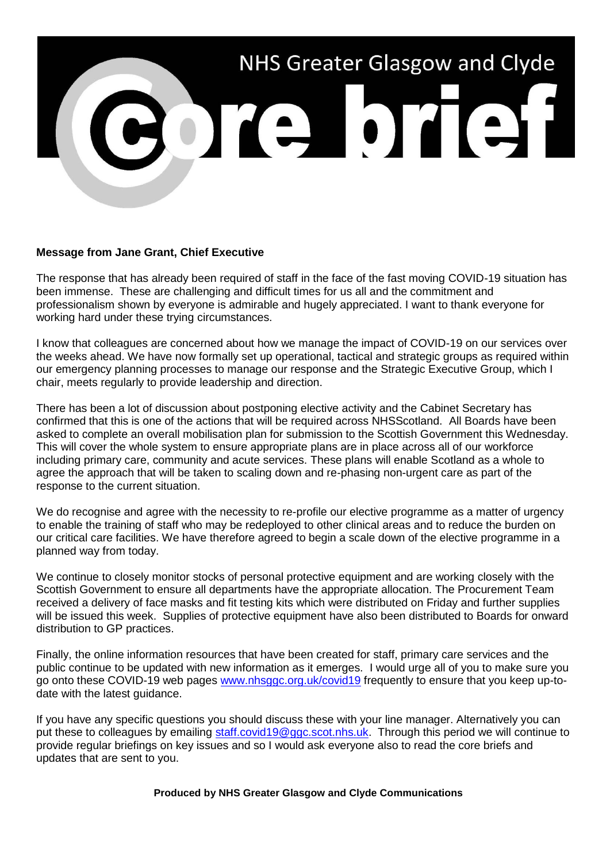

## **Message from Jane Grant, Chief Executive**

The response that has already been required of staff in the face of the fast moving COVID-19 situation has been immense. These are challenging and difficult times for us all and the commitment and professionalism shown by everyone is admirable and hugely appreciated. I want to thank everyone for working hard under these trying circumstances.

I know that colleagues are concerned about how we manage the impact of COVID-19 on our services over the weeks ahead. We have now formally set up operational, tactical and strategic groups as required within our emergency planning processes to manage our response and the Strategic Executive Group, which I chair, meets regularly to provide leadership and direction.

There has been a lot of discussion about postponing elective activity and the Cabinet Secretary has confirmed that this is one of the actions that will be required across NHSScotland. All Boards have been asked to complete an overall mobilisation plan for submission to the Scottish Government this Wednesday. This will cover the whole system to ensure appropriate plans are in place across all of our workforce including primary care, community and acute services. These plans will enable Scotland as a whole to agree the approach that will be taken to scaling down and re-phasing non-urgent care as part of the response to the current situation.

We do recognise and agree with the necessity to re-profile our elective programme as a matter of urgency to enable the training of staff who may be redeployed to other clinical areas and to reduce the burden on our critical care facilities. We have therefore agreed to begin a scale down of the elective programme in a planned way from today.

We continue to closely monitor stocks of personal protective equipment and are working closely with the Scottish Government to ensure all departments have the appropriate allocation. The Procurement Team received a delivery of face masks and fit testing kits which were distributed on Friday and further supplies will be issued this week. Supplies of protective equipment have also been distributed to Boards for onward distribution to GP practices.

Finally, the online information resources that have been created for staff, primary care services and the public continue to be updated with new information as it emerges. I would urge all of you to make sure you go onto these COVID-19 web pages [www.nhsggc.org.uk/covid19](http://www.nhsggc.org.uk/covid19) frequently to ensure that you keep up-todate with the latest guidance.

If you have any specific questions you should discuss these with your line manager. Alternatively you can put these to colleagues by emailing [staff.covid19@ggc.scot.nhs.uk.](mailto:staff.covid19@ggc.scot.nhs.uk) Through this period we will continue to provide regular briefings on key issues and so I would ask everyone also to read the core briefs and updates that are sent to you.

**Produced by NHS Greater Glasgow and Clyde Communications**